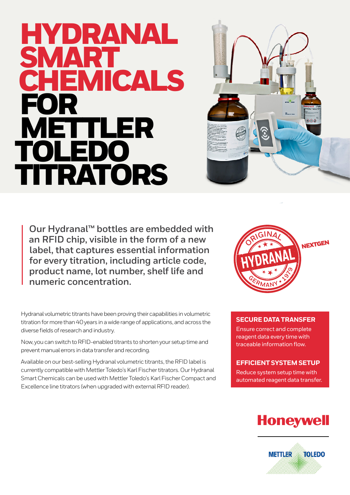# Research Chemicals HYDRANAL SMA<br>CHIE **MICALS FOR**<br>MFT METTLER TOLEDO TITRATORS



**Our Hydranal™ bottles are embedded with an RFID chip, visible in the form of a new label, that captures essential information for every titration, including article code, product name, lot number, shelf life and numeric concentration.**

Hydranal volumetric titrants have been proving their capabilities in volumetric titration for more than 40 years in a wide range of applications, and across the diverse fields of research and industry.

Now, you can switch to RFID-enabled titrants to shorten your setup time and prevent manual errors in data transfer and recording.

Available on our best-selling Hydranal volumetric titrants, the RFID label is currently compatible with Mettler Toledo's Karl Fischer titrators. Our Hydranal Smart Chemicals can be used with Mettler Toledo's Karl Fischer Compact and Excellence line titrators (when upgraded with external RFID reader).



## **SECURE DATA TRANSFER**

Ensure correct and complete reagent data every time with traceable information flow.

### **EFFICIENT SYSTEM SETUP**

Reduce system setup time with automated reagent data transfer.

# **Honeywell**